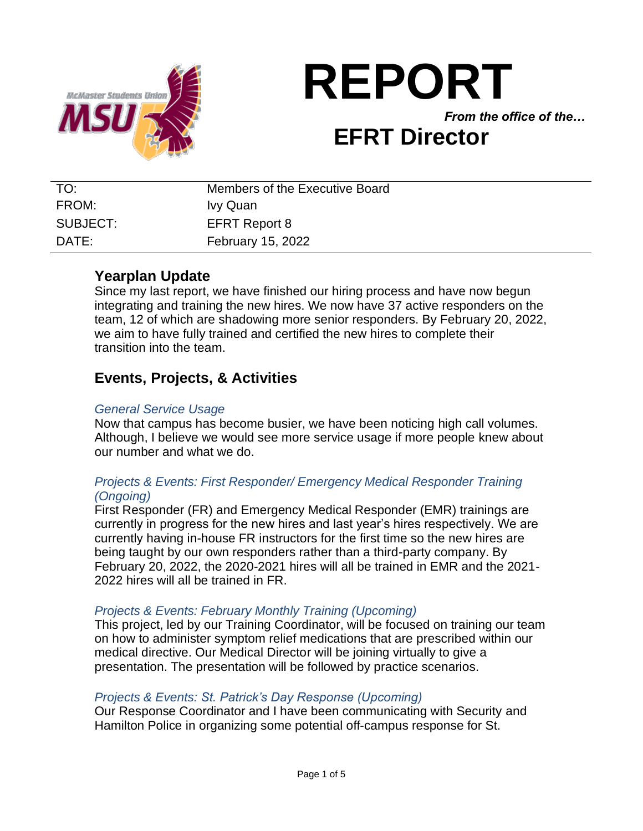

# **REPORT** *From the office of the…* **EFRT Director**

| TO:      | Members of the Executive Board |
|----------|--------------------------------|
| FROM:    | Ivy Quan                       |
| SUBJECT: | <b>EFRT Report 8</b>           |
| DATF:    | <b>February 15, 2022</b>       |

## **Yearplan Update**

Since my last report, we have finished our hiring process and have now begun integrating and training the new hires. We now have 37 active responders on the team, 12 of which are shadowing more senior responders. By February 20, 2022, we aim to have fully trained and certified the new hires to complete their transition into the team.

## **Events, Projects, & Activities**

#### *General Service Usage*

Now that campus has become busier, we have been noticing high call volumes. Although, I believe we would see more service usage if more people knew about our number and what we do.

## *Projects & Events: First Responder/ Emergency Medical Responder Training (Ongoing)*

First Responder (FR) and Emergency Medical Responder (EMR) trainings are currently in progress for the new hires and last year's hires respectively. We are currently having in-house FR instructors for the first time so the new hires are being taught by our own responders rather than a third-party company. By February 20, 2022, the 2020-2021 hires will all be trained in EMR and the 2021- 2022 hires will all be trained in FR.

#### *Projects & Events: February Monthly Training (Upcoming)*

This project, led by our Training Coordinator, will be focused on training our team on how to administer symptom relief medications that are prescribed within our medical directive. Our Medical Director will be joining virtually to give a presentation. The presentation will be followed by practice scenarios.

#### *Projects & Events: St. Patrick's Day Response (Upcoming)*

Our Response Coordinator and I have been communicating with Security and Hamilton Police in organizing some potential off-campus response for St.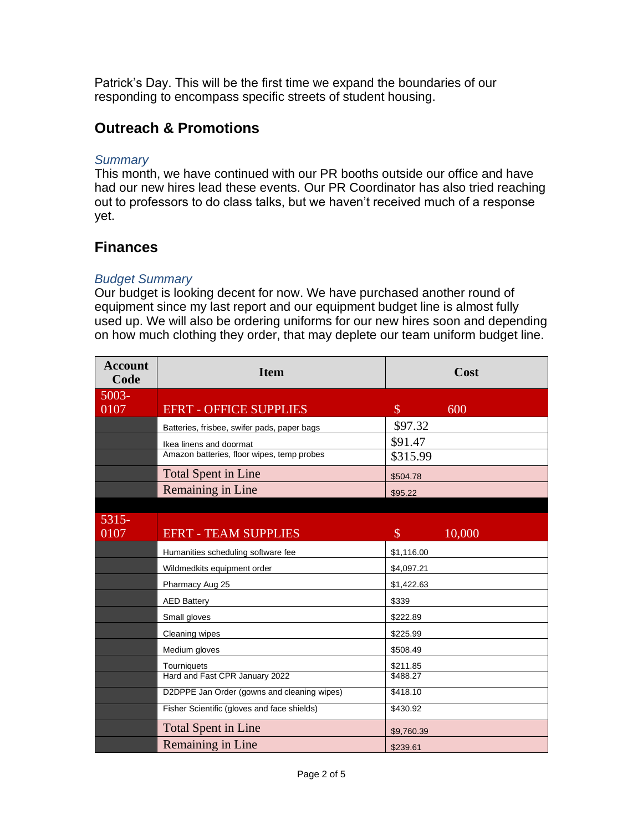Patrick's Day. This will be the first time we expand the boundaries of our responding to encompass specific streets of student housing.

# **Outreach & Promotions**

#### *Summary*

This month, we have continued with our PR booths outside our office and have had our new hires lead these events. Our PR Coordinator has also tried reaching out to professors to do class talks, but we haven't received much of a response yet.

# **Finances**

## *Budget Summary*

Our budget is looking decent for now. We have purchased another round of equipment since my last report and our equipment budget line is almost fully used up. We will also be ordering uniforms for our new hires soon and depending on how much clothing they order, that may deplete our team uniform budget line.

| <b>Account</b><br>Code | <b>Item</b>                                 | Cost                    |
|------------------------|---------------------------------------------|-------------------------|
| 5003-                  |                                             |                         |
| 0107                   | <b>EFRT - OFFICE SUPPLIES</b>               | $\mathcal{S}$<br>600    |
|                        | Batteries, frisbee, swifer pads, paper bags | \$97.32                 |
|                        | Ikea linens and doormat                     | \$91.47                 |
|                        | Amazon batteries, floor wipes, temp probes  | \$315.99                |
|                        | <b>Total Spent in Line</b>                  | \$504.78                |
|                        | Remaining in Line                           | \$95.22                 |
|                        |                                             |                         |
| 5315-                  |                                             |                         |
| 0107                   | <b>EFRT - TEAM SUPPLIES</b>                 | $\mathcal{S}$<br>10,000 |
|                        | Humanities scheduling software fee          | \$1,116.00              |
|                        | Wildmedkits equipment order                 | \$4,097.21              |
|                        | Pharmacy Aug 25                             | \$1,422.63              |
|                        | <b>AED Battery</b>                          | \$339                   |
|                        | Small gloves                                | \$222.89                |
|                        | Cleaning wipes                              | \$225.99                |
|                        | Medium gloves                               | \$508.49                |
|                        | Tourniquets                                 | \$211.85                |
|                        | Hard and Fast CPR January 2022              | \$488.27                |
|                        | D2DPPE Jan Order (gowns and cleaning wipes) | \$418.10                |
|                        | Fisher Scientific (gloves and face shields) | \$430.92                |
|                        | <b>Total Spent in Line</b>                  | \$9,760.39              |
|                        | Remaining in Line                           | \$239.61                |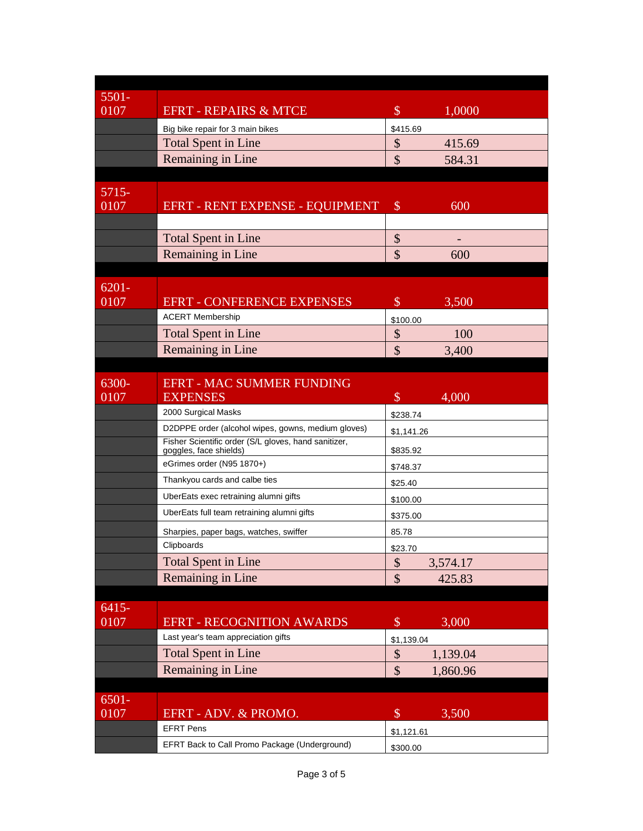| $5501 -$         |                                                      |                                              |
|------------------|------------------------------------------------------|----------------------------------------------|
| 0107             | <b>EFRT - REPAIRS &amp; MTCE</b>                     | \$<br>1,0000                                 |
|                  | Big bike repair for 3 main bikes                     | \$415.69                                     |
|                  | <b>Total Spent in Line</b>                           | \$<br>415.69                                 |
|                  | <b>Remaining in Line</b>                             | \$<br>584.31                                 |
|                  |                                                      |                                              |
| $5715-$          |                                                      |                                              |
| 0107             | EFRT - RENT EXPENSE - EQUIPMENT                      | $\$\$<br>600                                 |
|                  |                                                      |                                              |
|                  | <b>Total Spent in Line</b>                           | \$                                           |
|                  | Remaining in Line                                    | \$<br>600                                    |
|                  |                                                      |                                              |
| $6201 -$         |                                                      |                                              |
| 0107             | <b>EFRT - CONFERENCE EXPENSES</b>                    | $\boldsymbol{\mathsf{S}}$<br>3,500           |
|                  | <b>ACERT Membership</b>                              | \$100.00                                     |
|                  | <b>Total Spent in Line</b>                           | \$<br>100                                    |
|                  | Remaining in Line                                    | $\boldsymbol{\mathsf{S}}$<br>3,400           |
|                  |                                                      |                                              |
| 6300-            | <b>EFRT - MAC SUMMER FUNDING</b>                     |                                              |
| 0107             | <b>EXPENSES</b>                                      | $\mathcal{S}$<br>4,000                       |
|                  | 2000 Surgical Masks                                  | \$238.74                                     |
|                  | D2DPPE order (alcohol wipes, gowns, medium gloves)   | \$1,141.26                                   |
|                  | Fisher Scientific order (S/L gloves, hand sanitizer, |                                              |
|                  | goggles, face shields)<br>eGrimes order (N95 1870+)  | \$835.92                                     |
|                  | Thankyou cards and calbe ties                        | \$748.37                                     |
|                  | UberEats exec retraining alumni gifts                | \$25.40                                      |
|                  |                                                      | \$100.00                                     |
|                  | UberEats full team retraining alumni gifts           | \$375.00                                     |
|                  | Sharpies, paper bags, watches, swiffer               | 85.78                                        |
|                  | Clipboards                                           | \$23.70                                      |
|                  | <b>Total Spent in Line</b>                           | \$<br>3,574.17                               |
|                  | Remaining in Line                                    | $\mathcal{S}$<br>425.83                      |
|                  |                                                      |                                              |
| $6415 -$<br>0107 | <b>EFRT - RECOGNITION AWARDS</b>                     | $\$\$<br>3,000                               |
|                  | Last year's team appreciation gifts                  |                                              |
|                  | <b>Total Spent in Line</b>                           | \$1,139.04                                   |
|                  | Remaining in Line                                    | $\boldsymbol{\mathsf{\$}}$<br>1,139.04<br>\$ |
|                  |                                                      | 1,860.96                                     |
| $6501 -$         |                                                      |                                              |
| 0107             | EFRT - ADV. & PROMO.                                 | $\$\$<br>3,500                               |
|                  | <b>EFRT Pens</b>                                     | \$1,121.61                                   |
|                  | EFRT Back to Call Promo Package (Underground)        | \$300.00                                     |
|                  |                                                      |                                              |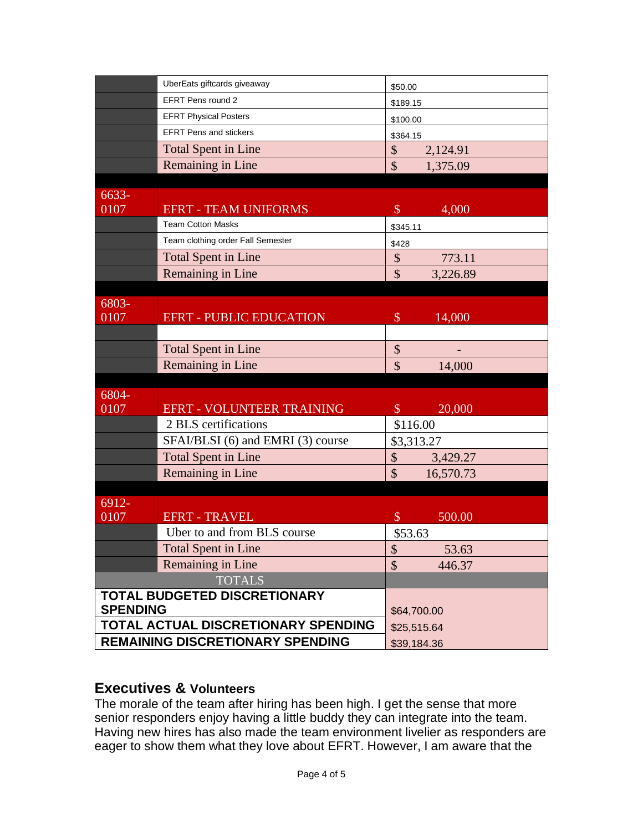| \$50.00                                                |
|--------------------------------------------------------|
| \$189.15                                               |
| \$100.00                                               |
| \$364.15                                               |
| \$<br>2,124.91                                         |
| \$<br>1,375.09                                         |
|                                                        |
| $\mathcal{S}$<br>4,000                                 |
| \$345.11                                               |
| \$428                                                  |
| 773.11<br>\$                                           |
| \$<br>3,226.89                                         |
|                                                        |
|                                                        |
| $\mathcal{S}$<br>14,000                                |
|                                                        |
| \$                                                     |
| \$<br>14,000                                           |
|                                                        |
| $\mathcal{S}$<br>20,000                                |
| \$116.00                                               |
| SFAI/BLSI (6) and EMRI (3) course<br>\$3,313.27        |
| \$<br>3,429.27                                         |
| $\mathbf{\hat{S}}$<br>16,570.73                        |
|                                                        |
|                                                        |
| $\mathcal{S}$<br>500.00                                |
| \$53.63                                                |
| 53.63<br>\$<br>$\mathcal{S}$                           |
| 446.37                                                 |
|                                                        |
| \$64,700.00                                            |
| TOTAL ACTUAL DISCRETIONARY SPENDING<br>\$25,515.64     |
| <b>REMAINING DISCRETIONARY SPENDING</b><br>\$39,184.36 |
|                                                        |

## **Executives & Volunteers**

The morale of the team after hiring has been high. I get the sense that more senior responders enjoy having a little buddy they can integrate into the team. Having new hires has also made the team environment livelier as responders are eager to show them what they love about EFRT. However, I am aware that the